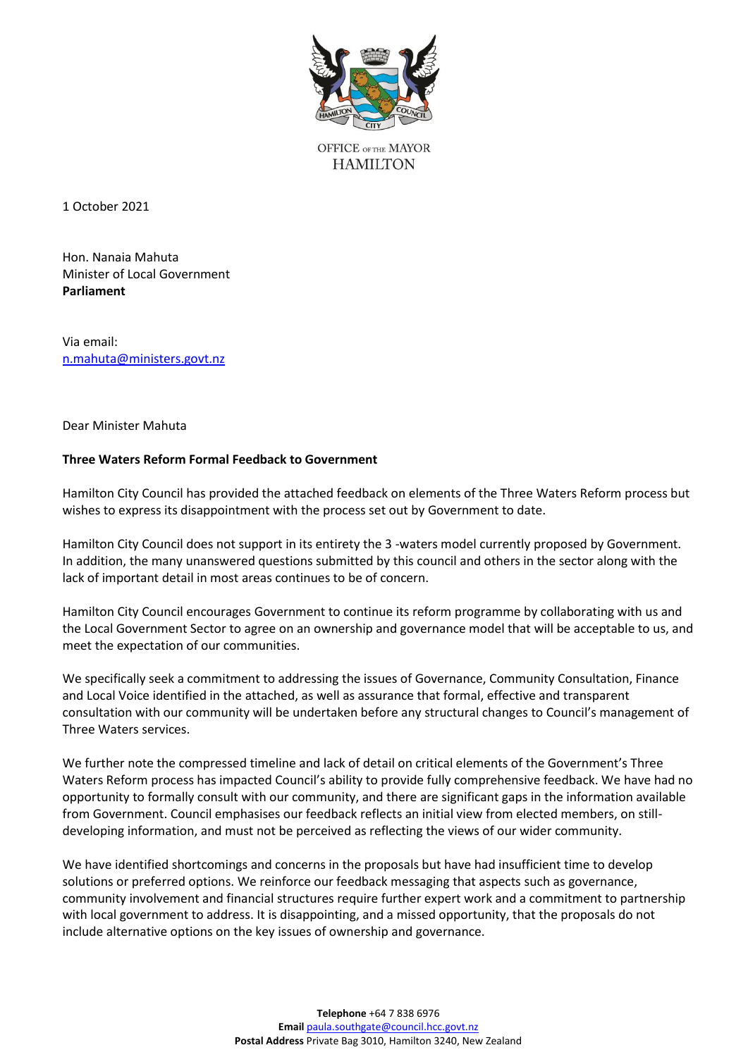

**OFFICE OFTHE MAYOR HAMILTON** 

1 October 2021

Hon. Nanaia Mahuta Minister of Local Government **Parliament**

Via email: [n.mahuta@ministers.govt.nz](mailto:n.mahuta@ministers.govt.nz)

Dear Minister Mahuta

## **Three Waters Reform Formal Feedback to Government**

Hamilton City Council has provided the attached feedback on elements of the Three Waters Reform process but wishes to express its disappointment with the process set out by Government to date.

Hamilton City Council does not support in its entirety the 3 -waters model currently proposed by Government. In addition, the many unanswered questions submitted by this council and others in the sector along with the lack of important detail in most areas continues to be of concern.

Hamilton City Council encourages Government to continue its reform programme by collaborating with us and the Local Government Sector to agree on an ownership and governance model that will be acceptable to us, and meet the expectation of our communities.

We specifically seek a commitment to addressing the issues of Governance, Community Consultation, Finance and Local Voice identified in the attached, as well as assurance that formal, effective and transparent consultation with our community will be undertaken before any structural changes to Council's management of Three Waters services.

We further note the compressed timeline and lack of detail on critical elements of the Government's Three Waters Reform process has impacted Council's ability to provide fully comprehensive feedback. We have had no opportunity to formally consult with our community, and there are significant gaps in the information available from Government. Council emphasises our feedback reflects an initial view from elected members, on stilldeveloping information, and must not be perceived as reflecting the views of our wider community.

We have identified shortcomings and concerns in the proposals but have had insufficient time to develop solutions or preferred options. We reinforce our feedback messaging that aspects such as governance, community involvement and financial structures require further expert work and a commitment to partnership with local government to address. It is disappointing, and a missed opportunity, that the proposals do not include alternative options on the key issues of ownership and governance.